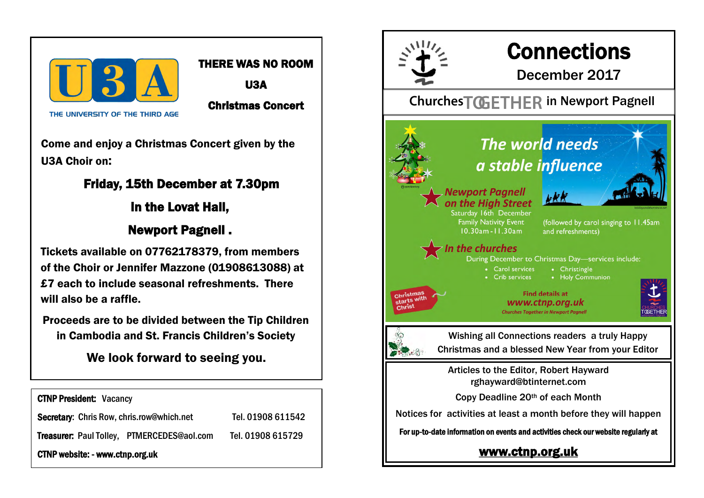

## THERE WAS NO ROOM

U3A

Christmas Concert

THE UNIVERSITY OF THE THIRD AGE

Come and enjoy a Christmas Concert given by the U3A Choir on:

# Friday, 15th December at 7.30pm

in the Lovat Hall,

# Newport Pagnell .

Tickets available on 07762178379, from members of the Choir or Jennifer Mazzone (01908613088) at £7 each to include seasonal refreshments. There will also be a raffle.

Proceeds are to be divided between the Tip Children in Cambodia and St. Francis Children's Society

We look forward to seeing you.

CTNP President: Vacancy Secretary: Chris Row, chris.row@which.net Tel. 01908 611542 Treasurer: Paul Tolley, PTMERCEDES@aol.com Tel. 01908 615729 CTNP website: - www.ctnp.org.uk



# **Connections**

December 2017

# Churches<sup>T</sup>GETHER in Newport Pagnell

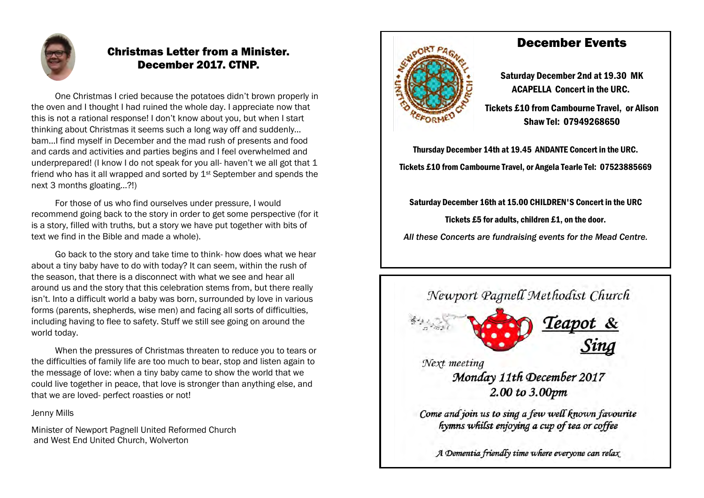

## Christmas Letter from a Minister. December 2017. CTNP.

One Christmas I cried because the potatoes didn't brown properly in the oven and I thought I had ruined the whole day. I appreciate now that this is not a rational response! I don't know about you, but when I start thinking about Christmas it seems such a long way off and suddenly… bam…I find myself in December and the mad rush of presents and food and cards and activities and parties begins and I feel overwhelmed and underprepared! (I know I do not speak for you all- haven't we all got that 1 friend who has it all wrapped and sorted by  $1<sup>st</sup>$  September and spends the next 3 months gloating…?!)

For those of us who find ourselves under pressure, I would recommend going back to the story in order to get some perspective (for it is a story, filled with truths, but a story we have put together with bits of text we find in the Bible and made a whole).

Go back to the story and take time to think- how does what we hear about a tiny baby have to do with today? It can seem, within the rush of the season, that there is a disconnect with what we see and hear all around us and the story that this celebration stems from, but there really isn't. Into a difficult world a baby was born, surrounded by love in various forms (parents, shepherds, wise men) and facing all sorts of difficulties, including having to flee to safety. Stuff we still see going on around the world today.

When the pressures of Christmas threaten to reduce you to tears or the difficulties of family life are too much to bear, stop and listen again to the message of love: when a tiny baby came to show the world that we could live together in peace, that love is stronger than anything else, and that we are loved- perfect roasties or not!

Jenny Mills

Minister of Newport Pagnell United Reformed Church and West End United Church, Wolverton



## December Events

Saturday December 2nd at 19.30 MK ACAPELLA Concert in the URC.

Tickets £10 from Cambourne Travel, or Alison Shaw Tel: 07949268650

Thursday December 14th at 19.45 ANDANTE Concert in the URC. Tickets £10 from Cambourne Travel, or Angela Tearle Tel: 07523885669

Saturday December 16th at 15.00 CHILDREN'S Concert in the URC

Tickets £5 for adults, children £1, on the door.

*All these Concerts are fundraising events for the Mead Centre.*

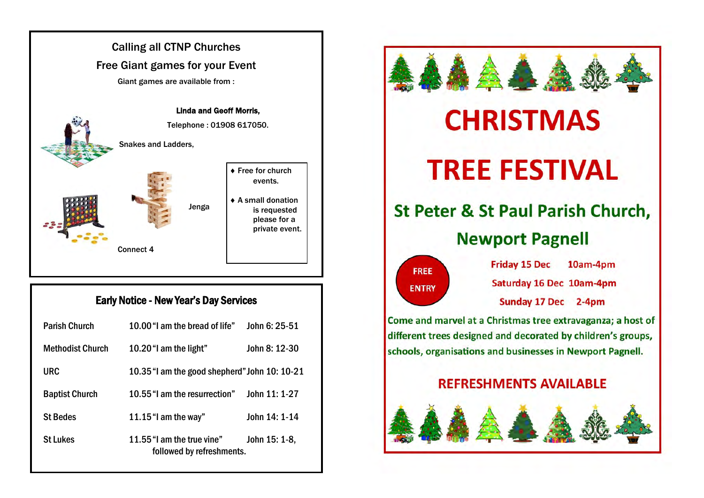

## Early Notice - New Year's Day Services

| <b>Parish Church</b>    | 10.00 "I am the bread of life"                          | John 6: 25-51 |
|-------------------------|---------------------------------------------------------|---------------|
| <b>Methodist Church</b> | 10.20 "I am the light"                                  | John 8: 12-30 |
| URC                     | 10.35 "I am the good shepherd" John 10: 10-21           |               |
| <b>Baptist Church</b>   | 10.55 "I am the resurrection"                           | John 11: 1-27 |
| <b>St Bedes</b>         | 11.15 "I am the way"                                    | John 14: 1-14 |
| <b>St Lukes</b>         | 11.55 "I am the true vine"<br>followed by refreshments. | John 15: 1-8, |